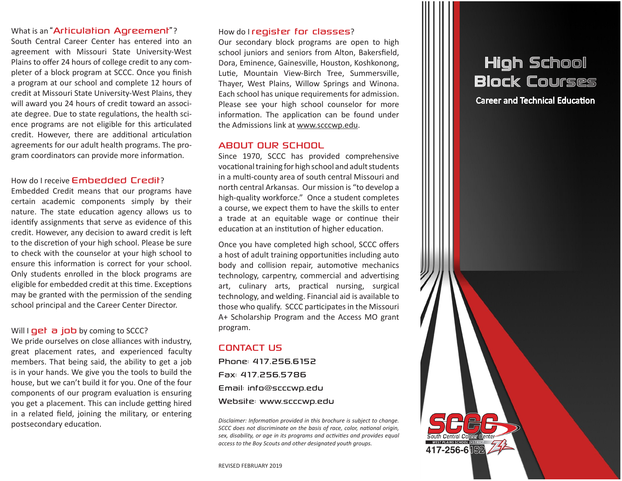## What is an "Articulation Agreement"?

South Central Career Center has entered into an agreement with Missouri State University-West Plains to offer 24 hours of college credit to any completer of a block program at SCCC. Once you finish a program at our school and complete 12 hours of credit at Missouri State University-West Plains, they will award you 24 hours of credit toward an associate degree. Due to state regulations, the health science programs are not eligible for this articulated credit. However, there are additional articulation agreements for our adult health programs. The program coordinators can provide more information.

## How do I receive Embedded Credit?

Embedded Credit means that our programs have certain academic components simply by their nature. The state education agency allows us to identify assignments that serve as evidence of this credit. However, any decision to award credit is left to the discretion of your high school. Please be sure to check with the counselor at your high school to ensure this information is correct for your school. Only students enrolled in the block programs are eligible for embedded credit at this time. Exceptions may be granted with the permission of the sending school principal and the Career Center Director.

### Will  $I$  get a job by coming to SCCC?

We pride ourselves on close alliances with industry, great placement rates, and experienced faculty members. That being said, the ability to get a job is in your hands. We give you the tools to build the house, but we can't build it for you. One of the four components of our program evaluation is ensuring you get a placement. This can include getting hired in a related field, joining the military, or entering postsecondary education.

## How do I register for classes?

Our secondary block programs are open to high school juniors and seniors from Alton, Bakersfield, Dora, Eminence, Gainesville, Houston, Koshkonong, Lutie, Mountain View-Birch Tree, Summersville, Thayer, West Plains, Willow Springs and Winona. Each school has unique requirements for admission. Please see your high school counselor for more information. The application can be found under the Admissions link at www.scccwp.edu.

## ABOUT OUR SCHOOL

Since 1970, SCCC has provided comprehensive vocational training for high school and adult students in a multi-county area of south central Missouri and north central Arkansas. Our mission is "to develop a high-quality workforce." Once a student completes a course, we expect them to have the skills to enter a trade at an equitable wage or continue their education at an institution of higher education.

Once you have completed high school, SCCC offers a host of adult training opportunities including auto body and collision repair, automotive mechanics technology, carpentry, commercial and advertising art, culinary arts, practical nursing, surgical technology, and welding. Financial aid is available to those who qualify. SCCC participates in the Missouri A+ Scholarship Program and the Access MO grant program.

## CONTACT US

Phone: 417.256.6152 Fax: 417.256.5786 Email: info@scccwp.edu Website: www.scccwp.edu

*Disclaimer: Information provided in this brochure is subject to change. SCCC does not discriminate on the basis of race, color, national origin, sex, disability, or age in its programs and activities and provides equal access to the Boy Scouts and other designated youth groups.*

ith Central Cair 417-256-6152

# High School Block Courses

Career and Technical Education